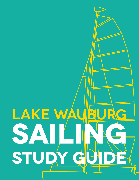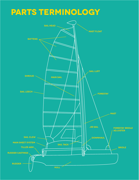## **parts terminology**

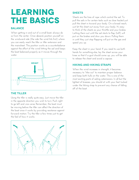### **LEARNING THE BASICS**

#### **Balance**

When getting in and out of a small boat, always do so from the center. Once aboard, position yourself on the windward side (the side the wind hits first) where you can easily reach the tiller or tiller extension and the mainsheet. This position works as a counterbalance against the effort of the wind hitting the sail and keeps the boat balanced properly as it moves through the water.



#### **The Tiller**

Using the tiller is really quite easy. Just move the tiller in the opposite direction you wish to turn. Push right to go left and vice-versa. Remember, the boat must be moving before the tiller can affect the direction of the boat since it works by providing resistance against forward motion. Try the tiller a few times just to get the feel of how it works.



### **Sheets**

Sheets are the lines of rope which control the sail. To pull the sails in for certain tacks such as close hauled just pull the sheet in toward your body. On a broad reach, just let the sheet out away from your body. It's easy to think of the sheets as your throttle and your brakes. Letting them out until the sail starts to flap (luff) will put on the brakes and slow you down. Pulling them in until they just stop flapping will put on the gas and speed you up.

Keep the sheet in your hand. If you need to use both hands for something else, lay the sheet across your knee so that if a gust should come up, you will be able to release the sheet and avoid a capsize.

#### **Hiking And Hiking Straps**

When the wind increases in strength, it becomes necessary to "hike out" to maintain proper balance and keep both hulls on the water. This is one of the most exciting parts of sailing catamarans. In all but the lightest of breezes, you should sit with your feet tucked under the hiking strap to prevent any chance of falling off of the boat.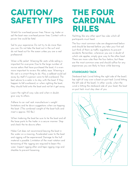### **caution/ safety tips**

Watch for overhead power lines. Never rig, trailer or sail the boat near overhead power lines. Contact with a power line could be fatal.

Sail to your experience. Do not try to do more than you can. Do not take the boat out in the surf and do not head out for the ocean unless you are a real professional.

Wear a life jacket. Wearing life vests while sailing is important for everyone. Due to the large number of novice sailors that have purchased the boat, it is even more important to review this safety issue. Wearing a life vest is a smart thing to do. Also, a sailboat could sail away by itself if a person were to fall overboard. The best advice to a sailor is to stay with the boat. If they happen to fall overboard, or when righting the boat, they should hold onto the boat and not let it get away.

Learn the right-of-way rules and when in doubt, give way to others.

Adhere to car roof rack manufacturer's weight limitations and tie down suggestions when car-topping the boat. (The combined weight of the boat hulls and mast is approx. 150 lbs.)

When trailering the boat be sure to tie the boat and all the loose parts to the trailer in a secure manner. Stop and check the tie downs often.

Hobie Cat does not recommend leaving the boat in the water on a mooring. Accelerated wear to the boat and rigging will be experienced. Damage to the hull material is possible. Limitation of the mast rotation and tensioning of the rigging are required to lessen this wear. Inspect rigging often and tape rigging rings and shackles to prevent loosening.

### **The Four Cardinal Rules**

Yachting, like any other sport has rules which all participants must heed.

The four most common rules are diagrammed below and should be learned before you take your first sail. Just think of them as traffic regulations to prevent accidents. Remember, whenever you are in doubt of which rule applies, simply give way to the other boat. There are more rules than the four below, but these are the most common ones and should suffice for any experiences you are likely to have while learning.

#### **Starboard Tack**

Starboard tack (wind hitting the right side of the boat) has right of way over a boat on port tack (wind hitting the left side of the boat). In other words, when the wind is hitting the starboard side of your boat, the boat on port tack must stay clear of you.

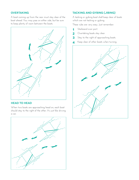#### **Overtaking**

A boat coming up from the rear must stay clear of the boat ahead. You may pass on either side, but be sure to keep plenty of room between the boats.



#### **Head To Head**

When two boats are approaching head on, each boat should stay to the right of the other. It's just like driving a car.



#### **Tacking And Gybing (Jibing)**

A tacking or gybing boat shall keep clear of boats which are not tacking or gybing.

These rules are very easy. Just remember:

- **1** Starboard over port.
- Overtaking boats stay clear. **2**
- Stay to the right of approaching boats. **3**
- Keep clear of other boats when turning. **4**

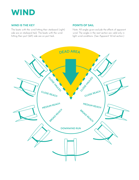

#### **Wind Is The Key**

The boats with the wind hitting their starboard (right) side are on starboard tack. The boats with the wind hitting their port (left) side are on port tack.

#### **Points Of Sail**

Note: All angles given exclude the effects of apparent wind. The angles in the next section are valid only in light wind conditions. (See Apparent Wind section.)

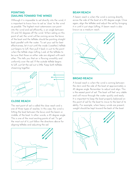#### **Pointing (sailing toward the wind)**

Although it is impossible to sail directly into the wind, it is important to know how to sail as "close" to the wind as possible. The highest most catamarans can point into the wind and sail efficiently, is an angle between 35 and 50 degrees off the wind. When sailing on this point of sail, the wind will be coming across the bows of the boat and the telltales should be pointing straight back parallel with the water. To set your sail for best effectiveness, let it out until the inside (weather) telltale just begins to luff, then pull it back in just to the point when the telltale stops luffing. Look at the telltales to be sure that those on either side are aligned with each other. This tells you that air is flowing smoothly and uniformly over the sail. If the outside telltale begins to luff, just let the sail out a little. Keep both telltales streaming together.



#### **Close Reach**

The next point of sail is called the close reach and is one of three types of reaches. In this case, the wind is hitting the boat between the bows and the beam or middle, of the boat. In other words, a 45 degree angle. This is one of the most exciting points of sail. To get the most out of it, just follow the directions above for aligning telltales and adjusting the sail.



#### **Beam Reach**

A beam reach is when the wind is coming directly across the side of the boat at a 90 degree angle. Once again, align the telltales and adjust the sail by bringing it in until it just stops luffing. A beam reach is also known as a medium reach.



#### **Broad Reach**

A broad reach is when the wind is coming between the stern and the side of the boat at approximately a 45 degree angle. Remember to adjust and align. This is the easiest point of sail. The boat will feel very stable and will move through the water quickly and easily. It is important to keep the boat properly balanced on this point of sail for the boat to move to the best of its ability. For example, when heavy winds are present, weight should be kept toward the back of the boat.

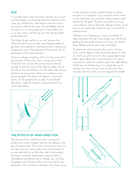#### **Run**

A run takes place when the boat is directly downwind and the breeze is pushing the boat from behind. In this Case, you will feel very little breeze since the wind is coming from behind the boat. The sail telltales will not be used on a run since alignment is not possible. On a run, the wind is not flowing over the sails but rather pushing the sails.

The Hobie 14 sails well on a run, but because the Hobie 16 and 18 carry jib sails, most skippers prefer to generate more speed by reaching and thus making use of apparent wind. (See Apparent Wind section for an explanation of this phenomenon.)

There is a danger of gybing, that is turning away from the direction of the wind, when running downwind. If the boat hits a wave, the course may be altered enough so that the wind will be able to sneak around the side of the sail and force it to the other side, causing the boom to snap across. There are symptoms of an upcoming gybe. The boom will begin to waver and slowly rise. Be prepared for a gybe. If one should take place, make the necessary adjustments such as switching positions.



#### **The Effects Of Wind Direction**

The direction from which the wind is coming will dictate your course. Imagine that you are sailing on the face of a giant clock. The wind is coming from noon on the clock and you wish to sail to the area between 10 on one side and two on the other side. Unfortunately, this area is normally "dead area," meaning that it is impossible to sail directly into it. Instead, you will have to zigzag across the face of the wind to arrive at your destination. This is known as "tacking". Any other course on the clock face can be reached simply by sailing toward it. For example, if you wished to sail to "three" on the olock face, you would be sailing a beam reach directly for the goal. The same would be true if you were sailing to nine on the clock. Sailing to three would put you on a port tack. Sailing to nine would call for a starboard tack.

Whenever you change your course, remember to align and adjust the sail. If you forget, you will not be getting the best performance out of your cat. Watch those telltales and the sails. Align and adjust.

To determine which direction the wind is Coming from, watchn flags or trees around the body of water on which you plan to sail. It's also a good idea to ask fellow sailors about the "wind reputation" of a given area and to watch the weather report the night before. While you are still learning, it is a good idea not to venture out when strong winds are blowing. They may be a bit more than you are prepared to handle.

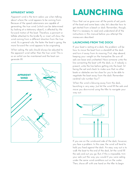#### **Apparent Wind**

Apparent wind is the term sailors use when talking about where the wind appears to be coming from. Because of the speed catamarans are capable of generating, the true wind (which can be determined by looking at a stationary object), is affected by the forward motion of the boat. Therefore, a pennant or telltale attached to the bridle fly or mast will show the wind coming from a different direction from the true wind. As a general rule, the faster the boat is going, the more forward the wind appears to be originating.

When sailing, the sails should always be adjusted to the apparent wind rather than the true wind. This is so an airfoil can be maintained and the boat can generate lift.



# LAUNCHING

Now that we've gone over all the points of sail, parts of the boat and some basic rules, let's describe how to get started from a beach or dock. Remember, though, that it is necessary to read and understand all of the instructions in this manual before you attempt the maneuvers described.

#### **Launching From the Dock**

If your boat is resting at a dock, the problem will be how to move the boat from a standstill at the dock and turn it away from its mooring. First, step aboard, keeping your weight on the trampoline. Be sure all sails are loose and unsheeted. Have someone untie the line connecting the boat with the dock, or, if nobody is present, untie the line before getting into the boat. Sit facing the sail and check to make sure that no other boats or obstacles are too close for you to be able to negotiate the boat away from the dock. Remember cardinal rule number four?

When the wind is blowing away from the dock, launching is very easy. Just let the wind fill the sails and move you downwind using the tiller to navigate your way out.



If you are on the windward side of the dock, however, you face a problem. In this case, the wind will tend to hold you fixed against the dock. An easy way out is to walk the boat to the end of the dock, let the wind fill the sails and out you go. But, if this is impossible, trim your sails just the way you would if you were sailing under the same wind conditions out on the water. Then, shove off with one hand on the tiller to begin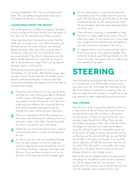steering immediately. This is the joy of sailing small boats. They can gather enough speed to get away from docks and the like in just seconds.

#### **Launching From the Beach**

One of the great joys of Hobie Cat sailing is the ability to land and launch the boats directly from the beach. In fact, that was the inspiration behind their invention.

When launching from the beach, be certain that the sheets are out so the wind won't catch the boat, push the boat out into the water until you are standing about knee deep. Take note of the wind direction. It will tell you what your first move should be when you jump aboard. If the Wind is blowing toward the beach, decide ahead of time what tack you have to take to sail toward your target. Then, just slip aboard the boat, sheet in, and have fun.

Although launching through the surf can be intimidating, it is not terribly difficult if the proper steps are taken. Launching through the surf should only be done by experienced skippers, it requires some fast movements and beginning skippers may not be able to anticipate fast enough.

- Check the wind. If the surf is of any size at all, be sure that the wind is blowing parallel to the beach, in other words, a 90 degree angle to your boat. It's possible to launch through the surf if the wind is blowing from offshore, but it must be blowing fairly hard as enough boat speed to get you through the waves will be of prime importance. **1**
- Place your maìnsheet and the tiller extension on the correct side of the boat for sailing. Just act as if the boat is really in the water. Everything should be where it would be if you were sailing. **2**
- Watch the surf. You'll note that it comes in sets of waves and that there is a space of time between the sets. **3**
- As soon as you see a lull, start pushhing the boat from the back crossbar out into the water. Be careful to keep the bows pointing directly into the surf. If they should turn sideways, the boat could flip over. If you see them starting to turn, run to the front of the boat and set them straight again. **4**
- As the water deepens, jump onto the boat and immediately lower the rudder closest to you and pull in the sail. Never let go of the tiller as the boat could head directly into the wind and stop. Pull in the sail enough to get some good speed going but not all the way. **5**
- Once the boat is moving, it is acceptable to head the boat on a slight angle to the waves if this will yield more speed. As you move over a wave, keep your weight forward and then bear off slightly as the boat comes down the back of the Wave. **6**
- If it appears that a wave is going to break right in front of you, get as much speed as possible, then, at the last moment, point the boat directly into the wave. Once the wave passes, bear of a little to get your speed built up again. **7**

### **steering**

Steer the boat by pushing the tiller away from you to turn towards the wind. Pull the tiller towards you to turn away from the wind. Keep the movement of the tiller to a minimum to prevent over-steering. This will help you keep the boat moving in a straight line as you pay attention to other watercraft and sail adjustments.

#### **SAIL POWER**

Face the sail in order to pay close attention to the trim or adjustment of the sail. When the front of the sail, just behind the mast, luffs or flutters in the breeze, you lose power. To start moving, pull the sail in just enough to stop the sail from luffing. There are also short ribbons hanging on either side of the sail. Follow the diagram of sail and course adjustments above using the "tell tails" to get the most performance out of the sail for all angles of sailing. The tell tails react to air flowing over the sail and will help you see that the sail is pulled in too tight or too loosely. If you pull the sail too tight you will stall the sail power. Ease the sail out until it luffs, then pull it in just a little until it stops luffing. You will adjust the trim whenever the wind changes direction or you change course.

Refer to the sail trim diagram below for approximate sail settings for the different points of sail or directions you will be sailing. Note the "can't sail zone". You cannot sail in this direction due to the fact that the sail will luff constantly when pointed into the wind.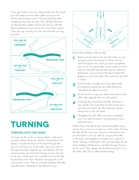If you get stuck in irons (or stop pointed into the wind) you will need to reverse the rudder and push the sail forward to back-wind it. The jib should be back winded by the crew to assist. This will back the boat up. Reverse the rudders and let the sail out until the boat is positioned more across the wind (close reach). Then you can correctly trim the sail and start moving forward.



# **Turning**

#### **Turning Into the Wind**

Turning into the wind, or coming about, is the most common sailing maneuver. When coming about, the object is to pass the bows of the boat through the eye of wind and over to the other side. Let's refer to the clock example. Suppose you are sailing to the ten o'clock position, but Wish to Change Course and sail to the two o'olook spot. You would first move the tiller toward the sail to move the bows through the wind coming from noon. Then you would straighten the tiller once the boat is heading on the desired course.



Here's the procedure step by step.

- Before coming about, ask yourself what you are trying to achieve by doing so. Where do you want the boat to be when you have completed your turn? It's a good idea to pick a spot on land and aim the boat toward that spot for reference. Remember, you must turn the boat at least 90 degrees or you may stall in the wind (put yourself in irons). **1**
- Push the tiller smoothly but firmly about half the distance toward the sail while letting the mainsheet out about one foot. **2**
- As the boom swings over, duck and move to the other side, opposite the new sail position. **3**
- Exchange the mainsheet and tiller extension in your hands. The mainsheet should always be in your forward hand, the tiller extension should always be in your aft hand. **4**
- Straighten the tiller after you have completed your turn and the boat is moving toward your reference point. **5**

Notes: Move the tiller firmly, but avoid sudden, jerky moves. Try to carve a smooth arc in the water. Forcing the tiller all the way over will put on the brakes and put the boat in irons (or stall it). Let go of the tiller, or the boat will straighten out before you want it to. When tacking a catamaran with a jib sail, keep the jib sheet cleated until the bows are fully through the eye of the wind. Then release the jib sheet and pull it in on the other side. This is called "baokwinding."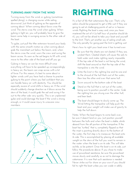#### **Turning Away From the Wind**

Turning away from the wind, or gybing (sometimes spelled jibing), is changing course while sailing downwind. Just think of gybing as the opposite of coming about. When coming about bows cross the wind. The sterns cross the wind when gybing. When gybing in light air, you will probably have to give the boom some help in swinging across to the other side of the boat.

To gybe, just pull the tilter extension toward your body with the same smooth motion as when coming about, grab the mainsheet just below the boom, and, when the sterns cross the wind, warn the crew and swing the boom across. As soon as the sail begins to fill with wind, move to the other side of the boat and off you go.

Gybing in heavy air can be more difficult since everything will have to be speeded up correspondingly in heavy air, the boom can snap across with a lot of force. For this reason, it's best to come about in lighter winds until you have had a chance to practice gybing to the point where you feel confident that you can handle heavy air with dexterity. You should be especially aware of wind shifts in heavy air. If the wind should suddenly change direction as it blows across the stern of the boat, it could grab the sail and swing it far out to the other side very quickly. This is an unplanned gybe and could damage the boat if the wind is strong enough, or it could cause injury to unaware crew members.



# **Righting**

It's a fact of life that catamarans flip over. That's why sailors should be prepared to get a little wet if they are going to sail at challenging points of sail or in heavier winds. Righting the boat is easy and, once you have mastered the art of it (a half hour of practice should do it), you will not be afraid to take your boat and yourself to the limit. That's yet another joy of sailing small cats. The only penalty for going past the limit is getting wet.

Here's how to right your boat once it has turned over:

- **1** Be sure that the sheets are not cleated. If they are, uncleat them. Cleated sheets will cause the sails to hold water and make righting nearly impossible. If the top side of the boat is not facing the wind, shift the boat around so that the top side of the trampoline is into the wind.
- **2** Untie the knot in the righting line and tie one end to the shroud of the hull that's out of the water, then toss the other end over that same hull.
- **3** Swim around to the bottom side of the boat.
- **4** Stand on the hull that is not out of the water, being sure to position yourself in the center. Grab the righting line you strung over the other hull, and lean back.
- **5** The boat should begin to slowly come up. The Wind hitting the trampoline will help push the boat and your weight will make use of gravity to help the hull down.

Notes: When the boat begins to come back over, be sure it doesnt land on you. Just position yourself between the hulls and when the boat is stable, olimb aboard from the aft portion of the trampoline. If the boat has "turtled," that is, completely flipped so that the mast is pointing directly down to the bottom of the water, the first step is to maneuver the boat onto its side. This is accomplished by placing all available weight on the stern of the hull you want to remain in the water when the boat is on its side. This will take awhile, so be patient. Once the boat is on its side, just follow the procedures above. If you chose to make use of powerboat assistance, be sure the powerboat moves slowly and carefully so as not to damage the catamaran. It is rare that such assistance is needed. Never strike out for shore on your own if you should fail to right the boat unless you can wade in safely.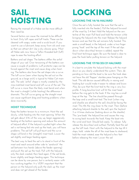### **Sail HOISTING** LOCKING THE 14/16 HALYARD

Raising the mainsail of a Hobie can be more difficult than need be.

Several factors can cause the mainsail to be difficult to hoist. Dirty luff ropes and luff tracks. These can be cleaned with soapy water and a scrub brush. If you want to use a lubricant, keep away from oils and waxes that can attract dirt. Use a dry silicone spray. Most all Hobie sails now have a Teflon threaded bolt (luff) rope to ease the hoisting effort.

Battens and sail shape. The battens stiffen the airfoil shape of your sail. Over tensioning of the battens can cause a couple of problems. Luff protector caps can be forced against the mast and cause drag when hoisting. The battens also force the sail shape into a curve. The luff curve (seen when laying the sail out on the ground, as a large arch) is typical to Hobie Cat main sails. The sails "airfoil" shape is mostly created by the miss-matched mast bend and luff curve of the sail. The luff curve is more than the likely mast bend and when the mast is straight (while hoisting) the difference is dramatic. This luff curve going up the straight mast can cause significant drag and hoisting problems when done incorrectly.

#### **Hoist Technique**

Keep the batten tension to a minimum. Hoist the sail slowly, while feeding into the mast opening. When the sail gets about 3/4's of the way up, begin aggressively feeding at the bottom opening and reduce the amount of halyard effort. If the halyard is pulled tight when the sail is not being fed into and up the track, you will have problems. The sail luff will pull taunt and the curve shape will bind in the (straight) mast track. Lower the sail slightly and begin feeding again.

The best way to feed the sail is to stand in front of the mast and reach around either side to "sandwich" the sail between two hands (above the feeder opening) and push the sail up the track. Pull with the halyard, only the slack created, then feed again. If the sail binds, lower slightly and begin feeding again. This technique can be done by one person, but is certainly easier with two working together. It is VERY important that the person on the halyard only pulls the slack up the mast and does not get ahead of the feeder.

# **locking**

Once the sail is fully hoisted (be sure that the sail is fully inserted into the feeder). Pull the halyard forward of the mast by 3-4 feet. Hold the halyard on the centerline of the mast. Pull hard and hold the tension while bringing the halyard into the mast. Release the halyard tension and see that the sail remains fully hoisted. This seats a small bead, in the halyard, under a two finger prong "hook" and the top of the mast. If the sail slips down when downhaul tension is added, repeat the final hoist technique again. Be sure the bead is clear to pass the hook befor pulling tension on the halyard.

#### **Locking the 17/18/20/21 Halyard**

It is best to simulate the halyard locking with the mast down so you clearly understand the system. Then, depending on how old the boat is, be sure the hook does not have the old "flopper" stainless piece hanging on the hook. This old device caused difficulty in raising and hooking but would make it easier to release and lower. Also, be sure that the knot tied to the ring is very low profile. A long bowline knot will hit the mast head before the ring gets to the hook. If the ring has a small loop at the top. The line should be passed through the loop and a small knot tied. The knot (when ring and shackle are afixed to the sail) should be facing the mast. This tilts the ring closer to the mast. Then (before attaching halyard shackle to the sail) spin the haylard 3 or 4 times clockwise (looking down on the shackle). This "pre-loads" the halyard line and causes the ring to swing back towards the hook. Keep the boat into the wind and hoist. Should lock easily. To release… fully release the downhaul and outhaul. Partially feed the sail up the luff track. Hoist with the halyard to the top till it stops, hold… rotate the aft of the mast base to starboard, hold the mast rotated, ease the halyard a few feet before releasing the mast. Lower the sail.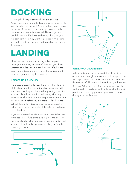# **DOCKING**

Docking the boat properly will prevent damage. Always dock and rig on the leeward side of a dock (the side the wind reaches last). Come in slowly and always be aware of the wind direction so you can properly de-power the boat when needed. The stronger the wind the more difficult the docking will be. Until you feel confident, you may want to practice with a friend who will remain on the dock and help slow you down if necessary.

### **Landing**

Now that you've practiced sailing, what do you do when you are ready to come in? Landing your boat, whether at a dock or on a beach is not difficult if the proper procedures are followed for the various wind conditions you are likely to encounter.

#### **Leeward Landing**

If a choice is available to you, it is always best to land at the dock from the leeward or downwind side with your bows heading into the wind or pointing. The trick is to be able to head into the dock with just enough speed to be able to turn at the proper moment without stalling yourself before you get there. To land, let the sail out slightly to reduce your speed; come about just before the bows hit the dock; let the sails out and grab on to the dock.

If you are approaching the dock on a reach, follow the same basic procedure being sure to point the boat into the wind slightly before you reach your destination and let your sails luff so that you can simply glide into the position you want.





#### **Windward Landing**

When landing on the windward side of the dock, approach at an angle at a reduced rate of speed. Then head up to point your bows into the wind and allow the sails to luff. The wind will then blow you back into the dock. Although this is the least desirable way to land a boat, it is certainly nothing to be afraid of and practice will cure any problems you may encounter during your first few tries.

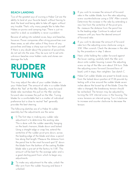#### **Beach Landing**

Two of the greatest joys of owning a Hobie Cat are the ability to land at your favorite beach without having to dock the boat and being able to take off again without any trouble. That's why many people like to take their Hobies on picnics and camping trips. There is just no need for a dock so availability is never a problem.

Beware of sailing into isolated coves, bays and beaches, however. Power companies often string powerlines over these areas, so ask other sailors if they know of any powerlìnes and keep a sharp eye out for them yourself. If there is any doubt about the presence of powerlines, do not sail into the area. Also, be sure not to sail onto unknown beaches since hidden rocks and stones can damage the hulls.

### **RUDDER TUNING**

You may adjust the rake of your rudder blades on your Hobie boat. The amount of rake in a rudder blade affects the "feel" at the tiller. Basically, more forward blade rake neutralizes the pull on the tiller and less forward rake increases the pull on the tiller. Tuning blades for a comfortable feel is a matter of individual preference but a close to neutral "feel" generally provides the best steering.

The following sketches are of a Hobie 16 rudder assembly but the adjustments are the same.

- **1** 1) The first step in making any rudder rake adjustment is to determine the existing rake. This is done with the rudder assembly hanging on the boat's transom, blade down and locked. Using a straight edge or snap line, extend the centerline of the rudder pivot pins down, across the leading edge of the blade and draw a pencil line along that length. Measure the distance from the pencil line to the most forward spot 12" down the blade from the bottom of the casting. Rudder blade rake is pre-set at the factory to 1-1/8". This amount will be best for the average sailor and is a good starting point from which to begin any adjustments.
- **2** To make any adjustment to the rake, unlock the tiller arm from the rudder housing and leave it unlocked.
- **3** If you wish to increase the amount of forward rake in the rudder blade, turn the rake adjusting screw counterclockwise using a 3/16" Allen wrench. Determine the increase in the rake by extending a new line from the centerline of the pivot pins. Re- measure the distance from the pencil line to the leading edge. Continue to adjust and measure until you have the desired amount of forward rake.
- **4** If you wish to decrease the amount of forward rake turn the adjusting screw clockwise using a 3/16" Allen wrench. Check the decrease in the rake by the procedure in step 3 above .
- **5** Next, while holding the rudder forward against the lower casting, carefully latch the tiller arm down onto rudder housing. Loosen the adjusting screw on top of the tiller arm about 3/4 turn. Slide the adjusting screw forward (toward bow of boat) until it stops, then retighten. See sketch C.
- Hobie Cat rudder blades are preset to break away from the locked down position at 17-26 pounds by testing with a line around the rudder blade seven inches above the lowest tip of the blade. Once the rake is changed, the breakaway tension should be rechecked. The tension may be adjusted by turning the 3/4" internal screw in the housing. The screw tensions an internal spring. Turn it clockwise to increase and counter clockwise to decrease the tension. **6**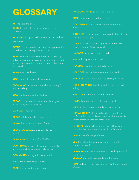### GLOSSARY **FORE-AND-AFT:** lengthways of a boat

AFT: toward the stern

**Back:** to push sails out so wind pushes boat backward

**Backwind:** to push sails out so wind pushes boat backwards

**BATTEN:** a thin wooden or fiberglass strip placed in pockets of a sail to help hold its form

**BEAR:** to move in a certain direction-to "bear up" is to turn windward; to "bear off" is to turn to leeward; to "bear down on" is to approach another boat from windward

**BEAT:** to sail windward

**Boom:** spar at the foot of the mainsail

**Boomvang:** a line used to hold boom steady for

**Bow:** the forward part of the boat

**BROACH:** to swing broadside to a following sea or surf—a dangerous maneuver

**Capsize:** to turn over

**CLEAT:** a fitting to which ropes are tied

**Clew:** the lower back corner of a sail

**CLOSE HAULED:** sailing as close to the wind as possible

**Come About:** to tack (See "Tack")

**Downhaul:** a line for hauling down a sail to give it more effective shape while hoisted

**DOWNWIND:** sailing with the wind aft

**FOOT:** the bottom edge of a sail

**FORE:** the forward part of a boat

**Furl:** to roll and tie a sail on a boom

**GOOSENECK:** fitting connecting the boom to the mast

**GROMMET:** a metal ring set into material for a line to attach to or through

**GYBE:** to cause sails to swing over to opposite side when wind is aft (also spelled jibe)

**Halyard:** a line used to hoist a sail

**HEAD:** the top corner of a sail

**HEADING:** the direction of boat's travel

**HEAD OFF:** to turn boat away from the wind

**HEADSTAY:** the forward wire supporting the mast

**HEAD-TO-WIND:** bow headed into the wind, sails luffing

**HEAD UP:** to turn boat toward the wind

**Helm:** the rudder or tiller steering the boat

**Hike:** to climb or lean out to keep the boat flat

**HIKING STRAPS:** straps under which the sailor tucks his feet to facilitate his leaning backwards out over the rail for better balance and safer sailing

**IN IRONS:** when tacking, a boat that will not come about but lies head-to-wind is said to be "in irons"

**Leach:** the after edge of a sail

**LEE:** the side of the boat away from the wind; opposite of weather

LEEWARD: direction away from the wind; opposite of windward LEEWAY: drift sideways due to wind pressure

**LUFF**: to head a boat into the wind; the forward edge, of a sail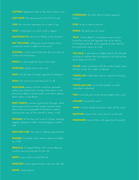LUFFING: flapping of sails as they fail to draw wind

**Luff Rope:** the rope sewed to the luff of a sail

**Line:** the common expression for a rope in use

**Mast:** vertical spar on which a sail is rigged

**MASTHEAD FLY:** device for telling wind's direction

**OFF THE WIND:** sailing any course except one to windward, which is called "on the wind"

**Outhaul:** a line used to haul the clew of a sail out to the end of the boom

**PINCH:** to sail a boat too close to the wind

**POINTING:** sailing close to the wind

**PORT:** the left side of a boat, opposite of starboard

**Rake:** the amount a mast leans fore or aft

**Reaching:** sailing with the wind free, between sailing close hauled and running, close reach—wind forward of abeam; broad reach—wind aft of abeam; beam reach—wind abeam

**REEF POINTS:** a series of grommets through which above and running parallel to the boom used for

**Rigging:** all the lines and wires of a boat; standing rigging—supports a mast; running rigging—controls sails

**RIGHTING LINE:** line used in righting capsized boat

**RUDDER:** the blade which steers a boat; controlled

**SHACKLE:** U-shaped fitting with a removable pin, used for securing halyards to sails, etc.

**SHEET:** rope used to control the sail

**SHROUDS:** wires supporting the mast from the side

**Spars:** masts, booms

**STARBOARD:** the right side of a boat; opposite

**STEP:** to set a mast in position

**STERN:** the back part of a boat

**Tack:** ("come about"): to change course so as to bring the wind on the opposite side of the sail by first heading into the wind; opposite of jibe; also the forward lower corner of a sail

**TELLTALE:** a short piece of ribbon tied to the shrouds on boats to indicate the wind direction and also to the sail to help trim the sail

**TILLER:** a bar connected with the rudder head; using this bar moves the rudder as desired

**TRAVELLER:** metal track and car used for trimming mainsail

**TRAVELLER CAR:** car on the traveller to which mainsheet is attached

**Trim:** to set the sails at the correct angle to the wind

**Upwind:** toward the wind

**Vang:** a line to steady the boom when off the wind

**Weather:** toward the wind; same as windward

**Windward:** toward the wind; opposite of leeward